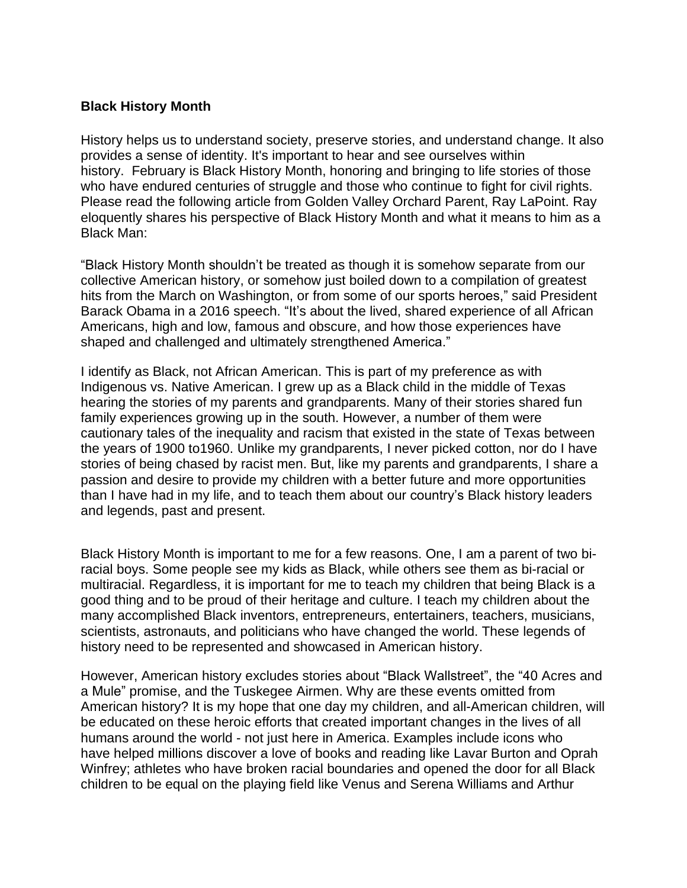## **Black History Month**

History helps us to understand society, preserve stories, and understand change. It also provides a sense of identity. It's important to hear and see ourselves within history. February is Black History Month, honoring and bringing to life stories of those who have endured centuries of struggle and those who continue to fight for civil rights. Please read the following article from Golden Valley Orchard Parent, Ray LaPoint. Ray eloquently shares his perspective of Black History Month and what it means to him as a Black Man:

"Black History Month shouldn't be treated as though it is somehow separate from our collective American history, or somehow just boiled down to a compilation of greatest hits from the March on Washington, or from some of our sports heroes," said President Barack Obama in a 2016 speech. "It's about the lived, shared experience of all African Americans, high and low, famous and obscure, and how those experiences have shaped and challenged and ultimately strengthened America."

I identify as Black, not African American. This is part of my preference as with Indigenous vs. Native American. I grew up as a Black child in the middle of Texas hearing the stories of my parents and grandparents. Many of their stories shared fun family experiences growing up in the south. However, a number of them were cautionary tales of the inequality and racism that existed in the state of Texas between the years of 1900 to1960. Unlike my grandparents, I never picked cotton, nor do I have stories of being chased by racist men. But, like my parents and grandparents, I share a passion and desire to provide my children with a better future and more opportunities than I have had in my life, and to teach them about our country's Black history leaders and legends, past and present.

Black History Month is important to me for a few reasons. One, I am a parent of two biracial boys. Some people see my kids as Black, while others see them as bi-racial or multiracial. Regardless, it is important for me to teach my children that being Black is a good thing and to be proud of their heritage and culture. I teach my children about the many accomplished Black inventors, entrepreneurs, entertainers, teachers, musicians, scientists, astronauts, and politicians who have changed the world. These legends of history need to be represented and showcased in American history.

However, American history excludes stories about "Black Wallstreet", the "40 Acres and a Mule" promise, and the Tuskegee Airmen. Why are these events omitted from American history? It is my hope that one day my children, and all-American children, will be educated on these heroic efforts that created important changes in the lives of all humans around the world - not just here in America. Examples include icons who have helped millions discover a love of books and reading like Lavar Burton and Oprah Winfrey; athletes who have broken racial boundaries and opened the door for all Black children to be equal on the playing field like Venus and Serena Williams and Arthur